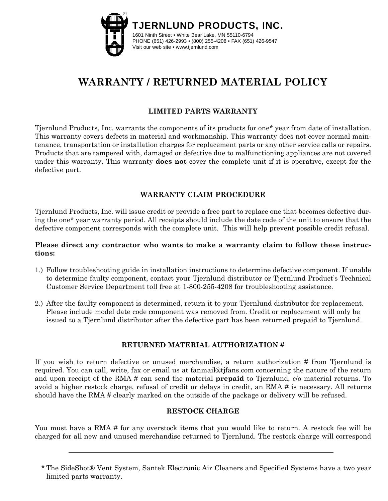

# **WARRANTY / RETURNED MATERIAL POLICY**

## **LIMITED PARTS WARRANTY**

Tjernlund Products, Inc. warrants the components of its products for one\* year from date of installation. This warranty covers defects in material and workmanship. This warranty does not cover normal maintenance, transportation or installation charges for replacement parts or any other service calls or repairs. Products that are tampered with, damaged or defective due to malfunctioning appliances are not covered under this warranty. This warranty **does not** cover the complete unit if it is operative, except for the defective part.

## **WARRANTY CLAIM PROCEDURE**

Tjernlund Products, Inc. will issue credit or provide a free part to replace one that becomes defective during the one\* year warranty period. All receipts should include the date code of the unit to ensure that the defective component corresponds with the complete unit. This will help prevent possible credit refusal.

## **Please direct any contractor who wants to make a warranty claim to follow these instructions:**

- 1.) Follow troubleshooting guide in installation instructions to determine defective component. If unable to determine faulty component, contact your Tjernlund distributor or Tjernlund Product's Technical Customer Service Department toll free at 1-800-255-4208 for troubleshooting assistance.
- 2.) After the faulty component is determined, return it to your Tjernlund distributor for replacement. Please include model date code component was removed from. Credit or replacement will only be issued to a Tjernlund distributor after the defective part has been returned prepaid to Tjernlund.

## **RETURNED MATERIAL AUTHORIZATION #**

If you wish to return defective or unused merchandise, a return authorization # from Tjernlund is required. You can call, write, fax or email us at fanmail@tjfans.com concerning the nature of the return and upon receipt of the RMA # can send the material **prepaid** to Tjernlund, c/o material returns. To avoid a higher restock charge, refusal of credit or delays in credit, an RMA # is necessary. All returns should have the RMA # clearly marked on the outside of the package or delivery will be refused.

#### **RESTOCK CHARGE**

You must have a RMA # for any overstock items that you would like to return. A restock fee will be charged for all new and unused merchandise returned to Tjernlund. The restock charge will correspond

<sup>\*</sup> The SideShot® Vent System, Santek Electronic Air Cleaners and Specified Systems have a two year limited parts warranty.